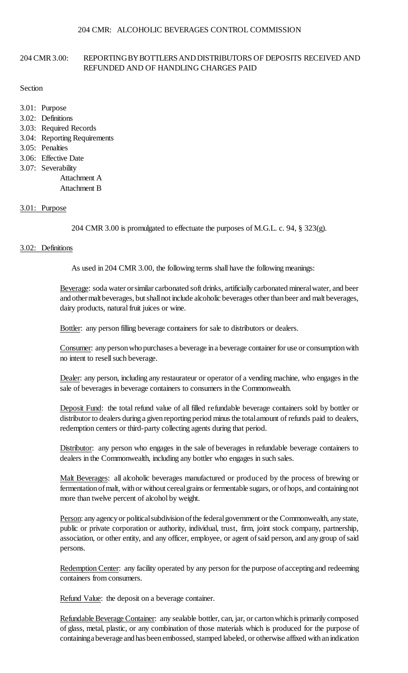## 204 CMR 3.00: REPORTINGBYBOTTLERS AND DISTRIBUTORS OF DEPOSITS RECEIVED AND REFUNDED AND OF HANDLING CHARGES PAID

#### Section

- 3.01: Purpose
- 3.02: Definitions
- 3.03: Required Records
- 3.04: Reporting Requirements
- 3.05: Penalties
- 3.06: Effective Date
- 3.07: Severability

Attachment A Attachment B

### 3.01: Purpose

204 CMR 3.00 is promulgated to effectuate the purposes of M.G.L. c. 94, § 323(g).

### 3.02: Definitions

As used in 204 CMR 3.00, the following terms shall have the following meanings:

and other malt beverages, but shall not include alcoholic beverages other than beer and malt beverages, Beverage: soda water orsimilar carbonated soft drinks, artificially carbonated mineral water, and beer dairy products, natural fruit juices or wine.

Bottler: any person filling beverage containers for sale to distributors or dealers.

Consumer: any person who purchases a beverage in a beverage container for use or consumption with no intent to resell such beverage.

Dealer: any person, including any restaurateur or operator of a vending machine, who engages in the sale of beverages in beverage containers to consumers in the Commonwealth.

 distributor to dealers during a given reporting period minus the total amount of refunds paid to dealers, Deposit Fund: the total refund value of all filled refundable beverage containers sold by bottler or redemption centers or third-party collecting agents during that period.

Distributor: any person who engages in the sale of beverages in refundable beverage containers to dealers in the Commonwealth, including any bottler who engages in such sales.

Malt Beverages: all alcoholic beverages manufactured or produced by the process of brewing or fermentation of malt, with or without cereal grains or fermentable sugars, or of hops, and containing not more than twelve percent of alcohol by weight.

Person: any agency or political subdivision of the federal government or the Commonwealth, any state, public or private corporation or authority, individual, trust, firm, joint stock company, partnership, association, or other entity, and any officer, employee, or agent ofsaid person, and anygroup of said persons.

Redemption Center: any facility operated by any person for the purpose of accepting and redeeming containers from consumers.

Refund Value: the deposit on a beverage container.

Refundable Beverage Container: any sealable bottler, can, jar, or carton which is primarily composed containing a beverage and has been embossed, stamped labeled, or otherwise affixed with an indication of glass, metal, plastic, or any combination of those materials which is produced for the purpose of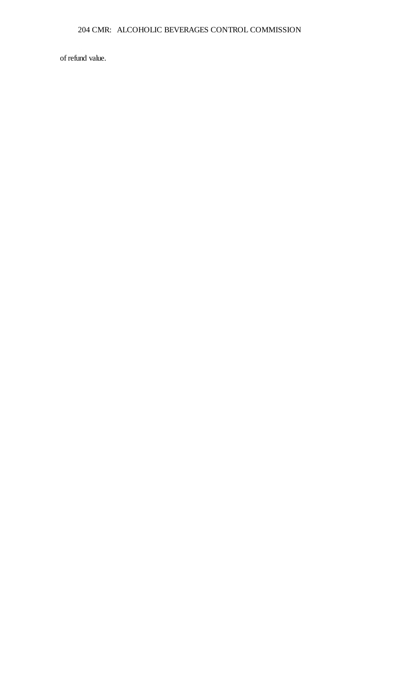of refund value.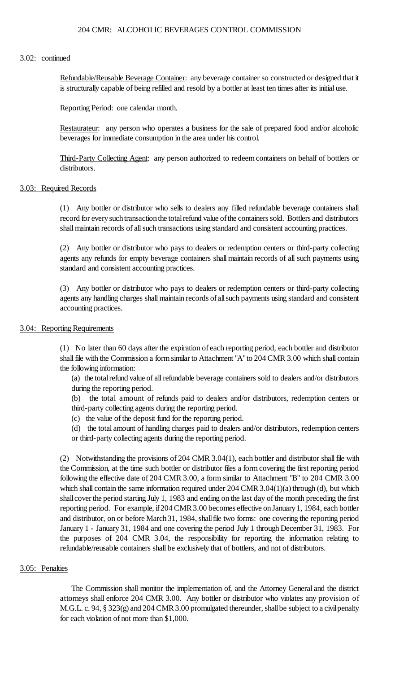#### 3.02: continued

Refundable/Reusable Beverage Container: any beverage container so constructed or designed that it is structurally capable of being refilled and resold by a bottler at least ten times after its initial use.

Reporting Period: one calendar month.

Restaurateur: any person who operates a business for the sale of prepared food and/or alcoholic beverages for immediate consumption in the area under his control.

Third-Party Collecting Agent: any person authorized to redeem containers on behalf of bottlers or distributors.

#### 3.03: Required Records

(1) Any bottler or distributor who sells to dealers any filled refundable beverage containers shall record for every such transaction the total refund value of the containers sold. Bottlers and distributors shall maintain records of all such transactions using standard and consistent accounting practices.

 agents any refunds for empty beverage containers shall maintain records of all such payments using (2) Any bottler or distributor who pays to dealers or redemption centers or third-party collecting standard and consistent accounting practices.

 agents any handling charges shall maintain records ofallsuch payments using standard and consistent (3) Any bottler or distributor who pays to dealers or redemption centers or third-party collecting accounting practices.

### 3.04: Reporting Requirements

 (1) No later than 60 days after the expiration of each reporting period, each bottler and distributor shall file with the Commission a form similar to Attachment "A"to 204 CMR 3.00 which shall contain the following information:

 (a) the totalrefund value of all refundable beverage containers sold to dealers and/or distributors during the reporting period.

(b) the total amount of refunds paid to dealers and/or distributors, redemption centers or third-party collecting agents during the reporting period.

(c) the value of the deposit fund for the reporting period.

(d) the total amount of handling charges paid to dealers and/or distributors, redemption centers or third-party collecting agents during the reporting period.

 the Commission, at the time such bottler or distributor files a form covering the first reporting period following the effective date of 204 CMR 3.00, a form similar to Attachment "B" to 204 CMR 3.00 which shall contain the same information required under 204 CMR 3.04(1)(a) through (d), but which shallcover the period starting July 1, 1983 and ending on the last day of the month preceding the first reporting period. For example, if 204 CMR 3.00 becomes effective on January 1, 1984, each bottler and distributor, on or before March 31, 1984, shall file two forms: one covering the reporting period (2) Notwithstanding the provisions of 204 CMR 3.04(1), each bottler and distributor shall file with January 1 - January 31, 1984 and one covering the period July 1 through December 31, 1983. For the purposes of 204 CMR 3.04, the responsibility for reporting the information relating to refundable/reusable containers shall be exclusively that of bottlers, and not of distributors.

### 3.05: Penalties

The Commission shall monitor the implementation of, and the Attorney General and the district attorneys shall enforce 204 CMR 3.00. Any bottler or distributor who violates any provision of M.G.L. c. 94, § 323(g) and 204 CMR 3.00 promulgated thereunder, shall be subject to a civil penalty for each violation of not more than \$1,000.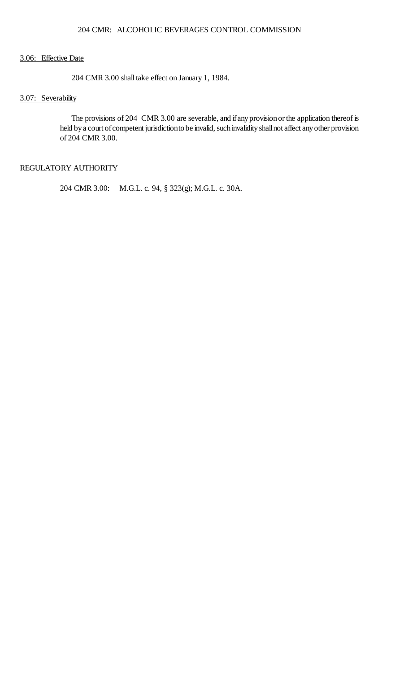## 204 CMR: ALCOHOLIC BEVERAGES CONTROL COMMISSION

## 3.06: Effective Date

204 CMR 3.00 shall take effect on January 1, 1984.

## 3.07: Severability

The provisions of 204 CMR 3.00 are severable, and if any provision or the application thereof is held by a court of competent jurisdictionto be invalid, such invalidity shall not affect any other provision of 204 CMR 3.00.

### REGULATORY AUTHORITY

204 CMR 3.00: M.G.L. c. 94, § 323(g); M.G.L. c. 30A.